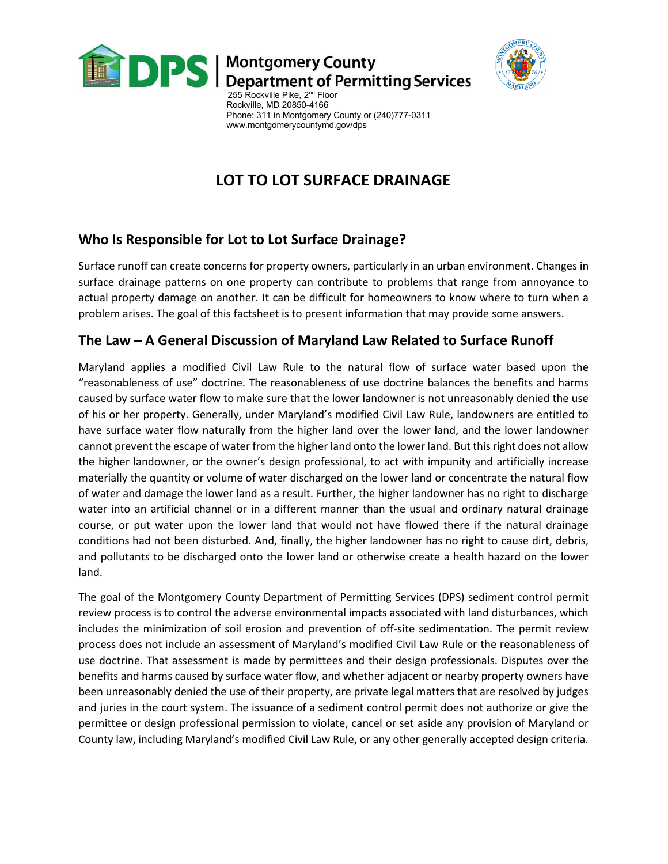



255 Rockville Pike, 2<sup>nd</sup> Floor Rockville, MD 20850-4166 Phone: 311 in Montgomery County or (240)777-0311 www.montgomerycountymd.gov/dps

# LOT TO LOT SURFACE DRAINAGE

### Who Is Responsible for Lot to Lot Surface Drainage?

Surface runoff can create concerns for property owners, particularly in an urban environment. Changes in surface drainage patterns on one property can contribute to problems that range from annoyance to actual property damage on another. It can be difficult for homeowners to know where to turn when a problem arises. The goal of this factsheet is to present information that may provide some answers.

#### The Law – A General Discussion of Maryland Law Related to Surface Runoff

Maryland applies a modified Civil Law Rule to the natural flow of surface water based upon the "reasonableness of use" doctrine. The reasonableness of use doctrine balances the benefits and harms caused by surface water flow to make sure that the lower landowner is not unreasonably denied the use of his or her property. Generally, under Maryland's modified Civil Law Rule, landowners are entitled to have surface water flow naturally from the higher land over the lower land, and the lower landowner cannot prevent the escape of water from the higher land onto the lower land. But this right does not allow the higher landowner, or the owner's design professional, to act with impunity and artificially increase materially the quantity or volume of water discharged on the lower land or concentrate the natural flow of water and damage the lower land as a result. Further, the higher landowner has no right to discharge water into an artificial channel or in a different manner than the usual and ordinary natural drainage course, or put water upon the lower land that would not have flowed there if the natural drainage conditions had not been disturbed. And, finally, the higher landowner has no right to cause dirt, debris, and pollutants to be discharged onto the lower land or otherwise create a health hazard on the lower land.

The goal of the Montgomery County Department of Permitting Services (DPS) sediment control permit review process is to control the adverse environmental impacts associated with land disturbances, which includes the minimization of soil erosion and prevention of off-site sedimentation. The permit review process does not include an assessment of Maryland's modified Civil Law Rule or the reasonableness of use doctrine. That assessment is made by permittees and their design professionals. Disputes over the benefits and harms caused by surface water flow, and whether adjacent or nearby property owners have been unreasonably denied the use of their property, are private legal matters that are resolved by judges and juries in the court system. The issuance of a sediment control permit does not authorize or give the permittee or design professional permission to violate, cancel or set aside any provision of Maryland or County law, including Maryland's modified Civil Law Rule, or any other generally accepted design criteria.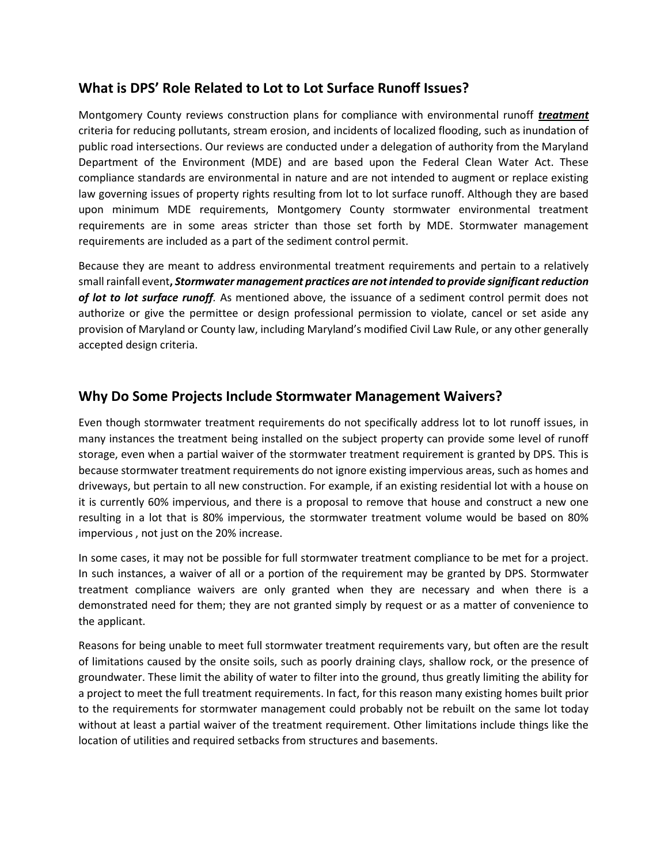#### What is DPS' Role Related to Lot to Lot Surface Runoff Issues?

Montgomery County reviews construction plans for compliance with environmental runoff treatment criteria for reducing pollutants, stream erosion, and incidents of localized flooding, such as inundation of public road intersections. Our reviews are conducted under a delegation of authority from the Maryland Department of the Environment (MDE) and are based upon the Federal Clean Water Act. These compliance standards are environmental in nature and are not intended to augment or replace existing law governing issues of property rights resulting from lot to lot surface runoff. Although they are based upon minimum MDE requirements, Montgomery County stormwater environmental treatment requirements are in some areas stricter than those set forth by MDE. Stormwater management requirements are included as a part of the sediment control permit.

Because they are meant to address environmental treatment requirements and pertain to a relatively small rainfall event, Stormwater management practices are not intended to provide significant reduction of lot to lot surface runoff. As mentioned above, the issuance of a sediment control permit does not authorize or give the permittee or design professional permission to violate, cancel or set aside any provision of Maryland or County law, including Maryland's modified Civil Law Rule, or any other generally accepted design criteria.

#### Why Do Some Projects Include Stormwater Management Waivers?

Even though stormwater treatment requirements do not specifically address lot to lot runoff issues, in many instances the treatment being installed on the subject property can provide some level of runoff storage, even when a partial waiver of the stormwater treatment requirement is granted by DPS. This is because stormwater treatment requirements do not ignore existing impervious areas, such as homes and driveways, but pertain to all new construction. For example, if an existing residential lot with a house on it is currently 60% impervious, and there is a proposal to remove that house and construct a new one resulting in a lot that is 80% impervious, the stormwater treatment volume would be based on 80% impervious , not just on the 20% increase.

In some cases, it may not be possible for full stormwater treatment compliance to be met for a project. In such instances, a waiver of all or a portion of the requirement may be granted by DPS. Stormwater treatment compliance waivers are only granted when they are necessary and when there is a demonstrated need for them; they are not granted simply by request or as a matter of convenience to the applicant.

Reasons for being unable to meet full stormwater treatment requirements vary, but often are the result of limitations caused by the onsite soils, such as poorly draining clays, shallow rock, or the presence of groundwater. These limit the ability of water to filter into the ground, thus greatly limiting the ability for a project to meet the full treatment requirements. In fact, for this reason many existing homes built prior to the requirements for stormwater management could probably not be rebuilt on the same lot today without at least a partial waiver of the treatment requirement. Other limitations include things like the location of utilities and required setbacks from structures and basements.